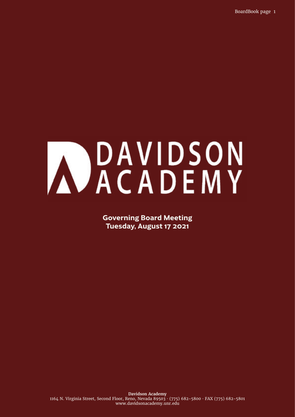# MOAVIDSON

**Governing Board Meeting Tuesday, August 17 2021**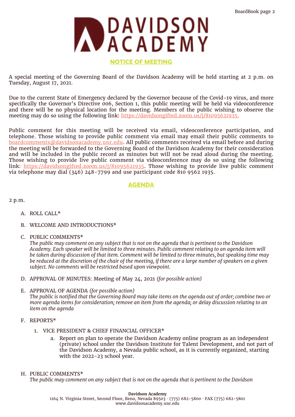

## **NOTICE OF MEETING**

A special meeting of the Governing Board of the Davidson Academy will be held starting at 2 p.m. on Tuesday, August 17, 2021.

Due to the current State of Emergency declared by the Governor because of the Covid-19 virus, and more specifically the Governor's Directive 006, Section 1, this public meeting will be held via videoconference and there will be no physical location for the meeting. Members of the public wishing to observe the meeting may do so using the following link: <https://davidsongifted.zoom.us/j/81095621935.>

Public comment for this meeting will be received via email, videoconference participation, and telephone. Those wishing to provide public comment via email may email their public comments to [boardcomments@davidsonacademy.unr.edu](mailto:boardcomments@davidsonacademy.unr.edu). All public comments received via email before and during the meeting will be forwarded to the Governing Board of the Davidson Academy for their consideration and will be included in the public record as minutes but will not be read aloud during the meeting. Those wishing to provide live public comment via videoconference may do so using the following link: <https://davidsongifted.zoom.us/j/81095621935>. Those wishing to provide live public comment via telephone may dial  $(346)$  248-7799 and use participant code 810 9562 1935.

# **AGENDA**

2 p.m.

- A. ROLL CALL\*
- B. WELCOME AND INTRODUCTIONS\*
- C. PUBLIC COMMENTS\*

*The public may comment on any subject that is not on the agenda that is pertinent to the Davidson Academy. Each speaker will be limited to three minutes. Public comment relating to an agenda item will be taken during discussion of that item. Comment will be limited to three minutes, but speaking time may be reduced at the discretion of the chair of the meeting, if there are a large number of speakers on a given subject. No comments will be restricted based upon viewpoint.*

- D. APPROVAL OF MINUTES: Meeting of May 24, 2021 *(for possible action)*
- E. APPROVAL OF AGENDA *(for possible action) The public is notified that the Governing Board may take items on the agenda out of order; combine two or more agenda items for consideration; remove an item from the agenda; or delay discussion relating to an item on the agenda*
- F. REPORTS\*
	- 1. VICE PRESIDENT & CHIEF FINANCIAL OFFICER\*
		- a. Report on plan to operate the Davidson Academy online program as an independent (private) school under the Davidson Institute for Talent Development, and not part of the Davidson Academy, a Nevada public school, as it is currently organized, starting with the 2022-23 school year.
- H. PUBLIC COMMENTS\*

*The public may comment on any subject that is not on the agenda that is pertinent to the Davidson*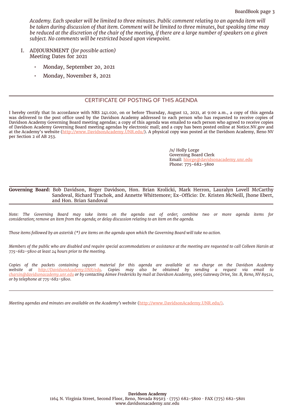*Academy. Each speaker will be limited to three minutes. Public comment relating to an agenda item will be taken during discussion of that item. Comment will be limited to three minutes, but speaking time may be reduced at the discretion of the chair of the meeting, if there are a large number of speakers on a given subject. No comments will be restricted based upon viewpoint.*

- I. ADJOURNMENT *(for possible action)* Meeting Dates for 2021
	- Monday, September 20, 2021
	- Monday, November 8, 2021

## CERTIFICATE OF POSTING OF THIS AGENDA

I hereby certify that In accordance with NRS 241.020, on or before Thursday, August 12, 2021, at 9:00 a.m., a copy of this agenda was delivered to the post office used by the Davidson Academy addressed to each person who has requested to receive copies of Davidson Academy Governing Board meeting agendas; a copy of this agenda was emailed to each person who agreed to receive copies of Davidson Academy Governing Board meeting agendas by electronic mail; and a copy has been posted online at Notice.NV.gov and at the Academy's website (<http://www.DavidsonAcademy.UNR.edu/>). A physical copy was posted at the Davidson Academy, Reno NV per Section 2 of AB 253.

> /s/ Holly Lorge Governing Board Clerk Email: [hlorge@davidsonacademy.unr.edu](mailto:hlorge@davidsonacademy.unr.eduhttp://) Phone: 775-682-5800

#### **Governing Board:** Bob Davidson, Roger Davidson, Hon. Brian Krolicki, Mark Herron, Lauralyn Lovell McCarthy Sandoval, Richard Trachok, and Annette Whittemore; Ex-Officio: Dr. Kristen McNeill, Jhone Ebert, and Hon. Brian Sandoval

*Note: The Governing Board may take items on the agenda out of order; combine two or more agenda items for consideration; remove an item from the agenda; or delay discussion relating to an item on the agenda.*

*Those items followed by an asterisk (\*) are items on the agenda upon which the Governing Board will take no action.* 

*Members of the public who are disabled and require special accommodations or assistance at the meeting are requested to call Colleen Harsin at 775-682-5800 at least 24 hours prior to the meeting.* 

*Copies of the packets containing support material for this agenda are available at no charge on the Davidson Academy website at <http://DavidsonAcademy.UNR/edu>. Copies may also be obtained by sending a request via email to [charsin@davidsonacademy.unr.edu](mailto:charsin@davidsonacademy.unr.edu) or by contacting Aimee Fredericks by mail at Davidson Academy, 9665 Gateway Drive, Ste. B, Reno, NV 89521, or by telephone at 775-682-5800.* 

*Meeting agendas and minutes are available on the Academy's website* ([http://www.DavidsonAcademy.UNR.edu/\)](http://www.DavidsonAcademy.UNR.edu/).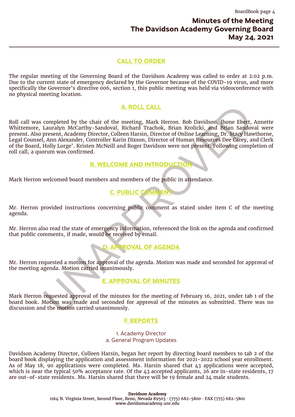# **Minutes of the Meeting The Davidson Academy Governing Board May 24, 2021**

# **CALL TO ORDER**

The regular meeting of the Governing Board of the Davidson Academy was called to order at 2:02 p.m. Due to the current state of emergency declared by the Governor because of the COVID-19 virus, and more specifically the Governor's directive 006, section 1, this public meeting was held via videoconference with no physical meeting location.

# **A. ROLL CALL**

**A.ROLL CALL CALL CALL CONDUCTION**<br>Lauralyn McCarty-Sandoval, Richard Trachok, Brian Kriefticki, and Brian Sandov<br>present, Academy Director, Colleen Harsin, Director of Online Learning, Dr. Stacy Hav<br>persent, Academy Direc Roll call was completed by the chair of the meeting, Mark Herron. Bob Davidson, Jhone Ebert, Annette Whittemore, Lauralyn McCarthy-Sandoval, Richard Trachok, Brian Krolicki, and Brian Sandoval were present. Also present, Academy Director, Colleen Harsin, Director of Online Learning, Dr. Stacy Hawthorne, Legal Counsel, Ann Alexander, Controller Karin Dixson, Director of Human Resources Dee Carey, and Clerk of the Board, Holly Lorge'. Kristen McNeill and Roger Davidson were not present. Following completion of roll call, a quorum was confirmed.

## **B. WELCOME AND INTRODUCTION**

Mark Herron welcomed board members and members of the public in attendance.

# **C. PUBLIC COMMENT**

Mr. Herron provided instructions concerning public comment as stated under item C of the meeting agenda.

Mr. Herron also read the state of emergency information, referenced the link on the agenda and confirmed that public comments, if made, would be received by email.

# **D. APPROVAL OF AGENDA**

Mr. Herron requested a motion for approval of the agenda. Motion was made and seconded for approval of the meeting agenda. Motion carried unanimously.

# **E. APPROVAL OF MINUTES**

Mark Herron requested approval of the minutes for the meeting of February 16, 2021, under tab 1 of the board book. Motion was made and seconded for approval of the minutes as submitted. There was no discussion and the motion carried unanimously.

## **F. REPORTS**

1. Academy Director a. General Program Updates

Davidson Academy Director, Colleen Harsin, began her report by directing board members to tab 2 of the board book displaying the application and assessment information for 2021-2022 school year enrollment. As of May 18, 90 applications were completed. Ms. Harsin shared that 43 applications were accepted, which is near the typical 50% acceptance rate. Of the 43 accepted applicants, 26 are in-state residents, 17 are out-of-state residents. Ms. Harsin shared that there will be 19 female and 24 male students.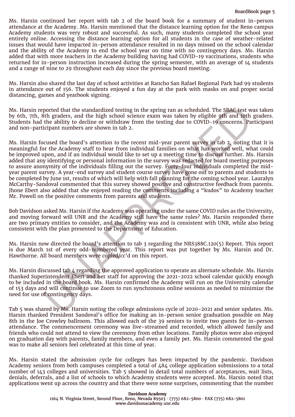attendance at the Academy. Ms. Harsin mentioned that the distance learning option for the Reno campus Academy students was very robust and successful. As such, many students completed the school year entirely online. Accessing the distance learning option for all students in the case of weather-related issues that would have impacted in-person attendance resulted in no days missed on the school calendar and the ability of the Academy to end the school year on time with no contingency days. Ms. Harsin added that with more teachers in the Academy building having had COVID-19 vaccinations, students who returned for in-person instruction increased during the spring semester, with an average of 14 students and a range of nine to 29 throughout each day since the previous board meeting.

Ms. Harsin also shared the last day of school activities at Rancho San Rafael Regional Park had 99 students in attendance out of 156. The students enjoyed a fun day at the park with masks on and proper social distancing, games and yearbook signing.

Ms. Harsin reported that the standardized testing in the spring ran as scheduled. The SBAC test was taken by 6th, 7th, 8th graders, and the high school science exam was taken by eligible 9th and 10th graders. Students had the ability to decline or withdraw from the testing due to COVID-19 concerns. Participant and non-participant numbers are shown in tab 2.

ported that the standardized testing in the spring ran as scheduled. The SBAC test with graders, and the high school science exam was taken by eligible of the arbity to decline or withdraw from the testing due to COVID-19 Ms. Here the most transmit in the street wire in the street here is a summary of statistical points and the street of the board interest in the street of the street of the street of the street of the street of the street Ms. Harsin focused the board's attention to the recent mid-year parent survey in tab 2, noting that it is meaningful for the Academy staff to hear from individual families on what has worked well, what could be improved upon, and if an individual would like to set up a meeting time to discuss further. Ms. Harsin added that any identifying or personal information in the survey was redacted for board meeting purposes to assure anonymity of the individuals filling out the survey. Forty-four individuals completed the midyear parent survey. A year-end survey and student course survey have gone out to parents and students to be completed by June 1st, results of which will help with fall planning for the coming school year. Lauralyn McCarthy-Sandoval commented that this survey showed positive and constructive feedback from parents. Jhone Ebert also added that she enjoyed reading the comments including a "kudos" to Academy teacher Mr. Powell on the positive comments from parents and students.

Bob Davidson asked Ms. Harsin if the Academy was operating under the same COVID rules as the University, and moving forward will UNR and the Academy still have the same rules? Ms. Harsin responded there are two primary entities to consider, and the Academy was and is consistent with UNR, while also being consistent with the plan presented to the Department of Education.

Ms. Harsin now directed the board's attention to tab 3 regarding the NRS388C.120(5) Report. This report is due March 1st of every odd-numbered year. This report was put together by Ms. Harsin and Dr. Hawthorne. All board members were copied/cc'd on this report.

Ms. Harsin discussed tab 4 regarding the approved application to operate an alternate schedule. Ms. Harsin thanked Superintendent Ebert and her staff for approving the 2021-2022 school calendar quickly enough to be included in the board book. Ms. Harsin confirmed the Academy will run on the University calendar of 153 days and will continue to use Zoom to run synchronous online sessions as needed to minimize the need for use of contingency days.

Tab 5 was shared by Ms. Harsin noting the college admissions cycle of 2020-2021 and senior updates. Ms. Harsin thanked President Sandoval's office for making an in-person senior graduation possible on May 8th in the Joe Crowley ballroom. This allowed each of the 39 seniors to invite two guests for in-person attendance. The commencement ceremony was live-streamed and recorded, which allowed family and friends who could not attend to view the ceremony from other locations. Family photos were also enjoyed on graduation day with parents, family members, and even a family pet. Ms. Harsin commented the goal was to make all seniors feel celebrated at this time of year.

Ms. Harsin stated the admission cycle for colleges has been impacted by the pandemic. Davidson Academy seniors from both campuses completed a total of 484 college application submissions to a total number of 143 colleges and universities. Tab 5 showed in detail total numbers of acceptances, wait lists, denials, deferrals, and a list of schools to which Academy students were accepted. Ms. Harsin noted that applications went up across the country and that there were some surprises, commenting that the number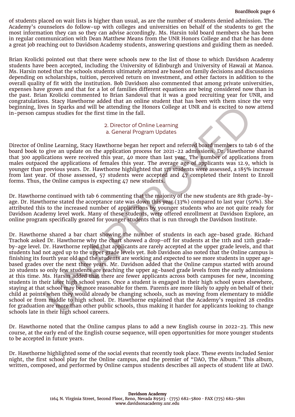of students placed on wait lists is higher than usual, as are the number of students denied admission. The Academy's counselors do follow-up with colleges and universities on behalf of the students to get the most information they can so they can advise accordingly. Ms. Harsin told board members she has been in regular communication with Dean Matthew Means from the UNR Honors College and that he has done a great job reaching out to Davidson Academy students, answering questions and guiding them as needed.

Brian Krolicki pointed out that there were schools new to the list of those to which Davidson Academy students have been accepted, including the University of Edinburgh and University of Hawaii at Manoa. Ms. Harsin noted that the schools students ultimately attend are based on family decisions and discussions depending on scholarships, tuition, perceived return on investment, and other factors in addition to the overall quality of fit with the institution. Bob Davidson also commented that among private universities, expenses have grown and that for a lot of families different equations are being considered now than in the past. Brian Krolicki commented to Brian Sandoval that it was a good recruiting year for UNR, and congratulations. Stacy Hawthorne added that an online student that has been with them since the very beginning, lives in Sparks and will be attending the Honors College at UNR and is excited to now attend in-person campus studies for the first time in the fall.

#### 2. Director of Online Learning a. General Program Updates

Director of Online Learning, Stacy Hawthorne began her report and referred board members to tab 6 of the board book to give an update on the application process for 2021-22 admissions. Dr. Hawthorne shared that 300 applications were received this year, 40 more than last year. The number of applications from males outpaced the applications of females this year. The average age of applicants was 12.9, which is younger than previous years. Dr. Hawthorne highlighted that 171 students were assessed, a 185% increase from last year. Of those assessed, 57 students were accepted and 47 completed their Intent to Enroll forms. Thus, the Online campus is expecting 47 new students.

Dr. Hawthorne continued with tab 6 commenting that the majority of the new students are 8th grade-byage. Dr. Hawthorne stated the acceptance rate was down this year (33%) compared to last year (50%). She attributed this to the increased number of applications by younger students who are not quite ready for Davidson Academy level work. Many of these students, were offered enrollment at Davidson Explore, an online program specifically geared for younger students that is run through the Davidson Institute.

ies in Sparks and will be attending the Honors College at UNR and is excited to now<br>puss studies for the first time in the fall.<br>
2. Director of Online Learning<br>
a. General Program Updates<br>
ilne Learning, Stacy Hawthorne b Dr. Hawthorne shared a bar chart showing the number of students in each age-based grade. Richard Trachok asked Dr. Hawthorne why the chart showed a drop-off for students at the 11th and 12th gradeby-age level. Dr. Hawthorne replied that applicants are rarely accepted at the upper grade levels, and that students had not aged up to the upper grade levels yet. Bob Davidson also noted that the Online campus is finishing its fourth year old and the students are working and expected to see more students in upper agebased grades over the next three years. Mr. Davidson added that the Online campus started with around 20 students so only few students are reaching the upper ag-based grade levels from the early admissions at this time. Ms. Harsin added that there are fewer applicants across both campuses for new, incoming students in their later high school years. Once a student is engaged in their high school years elsewhere, staying at that school may be more reasonable for them. Parents are more likely to apply on behalf of their child at points when they would already be changing schools, such as moving from elementary to middle school or from middle to high school. Dr. Hawthorne explained that the Academy's required 28 credits for graduation are more than other public schools, thus making it harder for applicants looking to change schools late in their high school careers.

Dr. Hawthorne noted that the Online campus plans to add a new English course in 2022-23. This new course, at the early end of the English course sequence, will open opportunities for more younger students to be accepted in future years.

Dr. Hawthorne highlighted some of the social events that recently took place. These events included Senior night, the first school play for the Online campus, and the premier of "DAO, The Album." This album, written, composed, and performed by Online campus students describes all aspects of student life at DAO.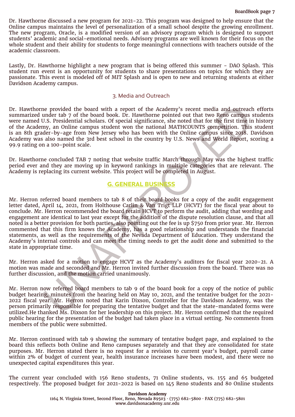Dr. Hawthorne discussed a new program for 2021-22. This program was designed to help ensure that the Online campus maintains the level of personalization of a small school despite the growing enrollment. The new program, Oracle, is a modified version of an advisory program which is designed to support students' academic and social-emotional needs. Advisory programs are well known for their focus on the whole student and their ability for students to forge meaningful connections with teachers outside of the academic classroom.

Lastly, Dr. Hawthorne highlight a new program that is being offered this summer - DAO Splash. This student run event is an opportunity for students to share presentations on topics for which they are passionate. This event is modeled off of MIT Splash and is open to new and returning students at either Davidson Academy campus.

### 3. Media and Outreach

Dr. Hawthorne provided the board with a report of the Academy's recent media and outreach efforts summarized under tab 7 of the board book. Dr. Hawthorne pointed out that two Reno campus students were named U.S. Presidential scholars. Of special significance, she noted that for the first time in history of the Academy, an Online campus student won the national MATHCOUNTS competition. This student is an 8th grader-by-age from New Jersey who has been with the Online campus since 2018. Davidson Academy was also named the 3rd best school in the country by U.S. News and World Report, scoring a 99.9 rating on a 100-point scale.

Dr. Hawthorne concluded TAB 7 noting that website traffic March through May was the highest traffic period ever and they are moving up in keyword rankings in multiple categories that are relevant. The Academy is replacing its current website. This project will be completed in August.

# **G. GENERAL BUSINESS**

ne provided the board with a report of the Academy's recent media and outreach<br>
and outreach<br>
20.5. Presidential scholars. Of special significance, she noted that for the first time in<br>
20.5. Presidential scholars. Of spec Mr. Herron referred board members to tab 8 of their board books for a copy of the audit engagement letter dated, April 14, 2021, from Holthouse Carlin & Van Trigt LLP (HCVT) for the fiscal year about to conclude. Mr. Herron recommended the board retain HCVT to perform the audit, adding that wording and engagement are identical to last year except for the addition of the dispute resolution clause, and that all noted is a better provision for both parties, also pointing out the fee is up \$750 from prior year. Mr. Herron commented that this firm knows the Academy, has a good relationship and understands the financial statements, as well as the requirements of the Nevada Department of Education. They understand the Academy's internal controls and can meet the timing needs to get the audit done and submitted to the state in appropriate time.

Mr. Herron asked for a motion to engage HCVT as the Academy's auditors for fiscal year 2020-21. A motion was made and seconded and Mr. Herron invited further discussion from the board. There was no further discussion, and the motion carried unanimously.

Mr. Herron now referred board members to tab 9 of the board book for a copy of the notice of public budget hearing, minutes from the hearing held on May 10, 2021, and the tentative budget for the 2021- 2022 fiscal year. Mr. Herron noted that Karin Dixson, Controller for the Davidson Academy, was the person primarily responsible for preparing the tentative budget and that the state-mandated forms were utilized.He thanked Ms. Dixson for her leadership on this project. Mr. Herron confirmed that the required public hearing for the presentation of the budget had taken place in a virtual setting. No comments from members of the public were submitted.

Mr. Herron continued with tab 9 showing the summary of tentative budget page, and explained to the board this reflects both Online and Reno campuses separately and that they are consolidated for state purposes. Mr. Herron stated there is no request for a revision to current year's budget, payroll came within 2% of budget of current year, health insurance increases have been modest, and there were no unexpected capital expenditures this year.

The current year concluded with 156 Reno students, 71 Online students, vs. 155 and 65 budgeted respectively. The proposed budget for 2021-2022 is based on 145 Reno students and 80 Online students